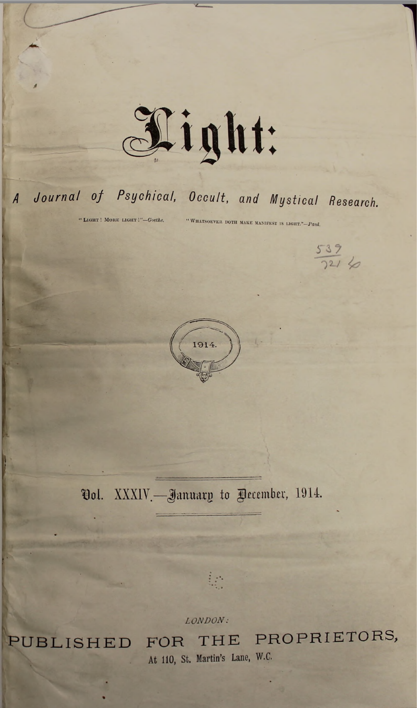

## *J Journal of Psychical, Occult, and Mystical Research.*

" <sup>L</sup>ight ! <sup>M</sup>ore light *Goethe.* <sup>W</sup>hatsoever doth make manifest is light."—*Paid.*

 $rac{539}{721}$ 



Vol. XXXIV.—January to Pecember, 1914.

 $\ddot{\phantom{a}}$ 

*LONDON:*

PUBLISHED FOR THE PROPRIETORS, **At 110, St. Martin's Lane, W.C.**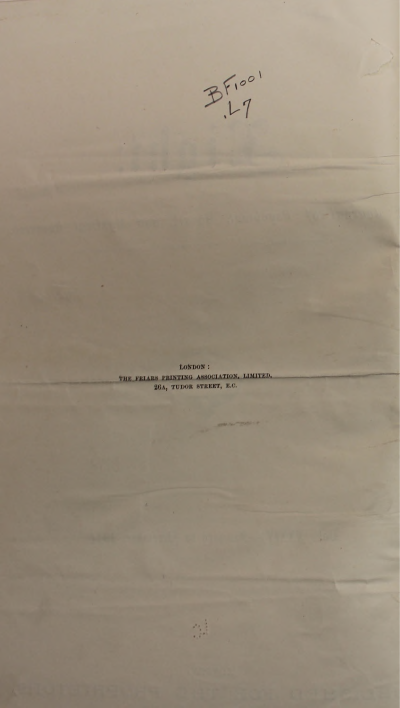

LONDON : THE FEIAES PEINTING ASSOCIATION, LIMITED, 26A, TUDOR STREET, E.C.

禁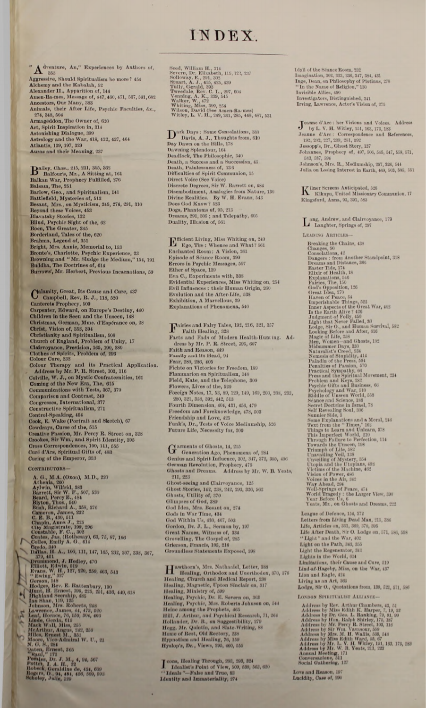## INDEX

"  $A^{\text{dynamic}}$ , An," Experiences by Authors of, The agrees of Apple 1503<br>Aggressive, Should Spiritualism be more ? 454<br>Alchemy and the Kabalah, 52<br>Alexander II., Apparition of, 144<br>Amen-Rames, Message of, 447, 460, 471, 567, 591, 602<br>Aneskors, Our Many, 333<br>Animals, the 274, 348, 504<br>Armageddon, The Owner of, 620 Armageddon, The Owner of, 920<br>Art, Spirit Inspiration in, 314<br>Astonishing Dialogue, 399<br>Astrology and the War, 418, 422, 437, 464<br>Atlantis, 139, 197, 329<br>Auras and their Meaning, 237

Balley, Chas., 215, 231, 305, 302<br>Balkan War, 15, 231, 305, 302<br>Balkan War, Prophecy Fulfilled, 276<br>Balsam, The, 251<br>Barlow, Geo, and Spiritualism, 141<br>Barlow, Geo, and Spiritualism, 141<br>Barlow, Geo, and Spiritualism, 141<br>

 $\begin{tabular}{l} \textbf{Calamity, Great, Its Case and Care, 437 \\ \textbf{Camphell, Rev, R. J., 118, 520} \\ \textbf{Canpreter, Edward, on Europe's Desting, 440 \\ \textbf{Childern in the Seen and the Unseen, 148 \\ \textbf{Christians, German, Mme. d'Espérance on, 28 \\ \textbf{Christ, Vision of, 553, 394} \\ \textbf{Christianity and Spirtinualism, 608 \\ \textbf{Church of England, Problem of Univ, 17 \\ \textbf{Calaryonace, Prevision, 165, 190, 280} \\ \textbf{Colour Cure, 232 \\ \textbf{Color$ Comparison and Contrast, 249<br>Congresses, International, 377<br>Constructive Spiritualism, 271<br>Control-Speaking, 454<br>Cook, E. Wake (Portrait and Sketch), 67<br>Cook, E. Wake (Portrait and Sketch), 67<br>Coroless, Sir Wm., and Spirit Comparison and Contrast, 249

**CONTRIBUTORS-**

 $\mathbb{Z}$ 

Construct Total, 200<br>
Construct Constrained Maria 200<br>
A. G., M.A. (Oxon), M.D., 220<br>
Athenla, 290<br>
Arthenia, 290<br>
Beard, Ferry E., 607, 530<br>
Beard, Fighting, 188<br>
Byton, Thos, 540<br>
Byton, Thos, 540<br>
Cameron, James, 232<br>
C

Seed, William H., 314<br>Severn, Dr. Elizabeth, 115, 122, 237<br>Sollowy, E., 231, 302<br>Stuart, A. J., 415, 425, 439<br>Tully, Gerald, 382<br>Tweedale, Rev. C. L., 297, 604<br>Twendale, R. V. C. 223, 545<br>Walker, W., 472<br>Wilson, David (Se

Dark Days: Some Consolations, 380 Dark Days : Some Consolations, 390<br>Day Dawns on the Hills, 178<br>Dawn on the Hills, 178<br>Dawning Splendour, 164<br>Deadlock, The Philosophic, 340<br>Death, a Success and a Succession, 45<br>Death, Paintessness of, 186<br>Difficulties of Discrete Degrees, Sir W. Barrett on, 484<br>Disembodiment, Analogies from Nature, 130<br>Divine Realities. By W. H. Evans, 543<br>Does God Know? 523 Dogs, Phantoms of, 95, 213<br>Dreams, 291, 305 ; and Telepathy, 605<br>Duality, Illusion of, 561

 $\mathbf{E^{f\!f\!f\!f\!f\!f\!f\!f\!f\!f\!f\!f\!f}}$  Ego, The : Whence and What? 561<br>Enchanted Room : A Vision, 261<br>Episode of Séance Room, 399 Episode of Seance Hoom, 399<br>Enrors in Pagehic Messages, 507<br>Ether of Space, 139<br>Evrors in Pagehic Messages, 507<br>Ether of Space, 139<br>Evidential Experiments with, 388<br>Evil Influences : their Human Origin, 260<br>Exhibition and

 $\begin{minipage}[c]{0.9\textwidth} \begin{minipage}[c]{0.9\textwidth} \begin{tabular}[c]{0.9\textwidth} \begin{tabular}[c]{0.9\textwidth} \begin{tabular}[c]{0.9\textwidth} \begin{tabular}[c]{0.9\textwidth} \begin{tabular}[c]{0.9\textwidth} \begin{tabular}[c]{0.9\textwidth} \begin{tabular}[c]{0.9\textwidth} \begin{tabular}[c]{0.9\textwidth} \begin{tabular}[c]{0.9\textwidth} \begin{tabular}[c]{0.9\textwidth} \begin{tabular}[c]{0.9\textwidth} \begin{tabular}[c]{0.9\textwidth} \begin{tabular}[c]{0$ Flammarion on Spiritualism, 140<br>Field, Kate, and the Telephone, 309 Field, Kate, and the Telephone, 309<br>
Flowers, Lives of the 520<br>
Foreign Notes, 17, 53, 89, 129, 149, 169, 209, 203, 233,<br>
280, 321, 358, 392, 442, 513<br>
Fourth Dimension, 404, 481, 456, 479<br>
Freedom and Foreknowledge, 478,

 $\begin{array}{l} \textbf{G}~\text{arments of Ghosts, 14, 215} \\ \textbf{G}~\text{Generation Ago, Phenomena of, 284} \\ \textbf{Genius and Split Influence, 302, 317, 372, 305, 406} \\ \textbf{German Revolution, Prophecy, 475} \\ \textbf{Ghoots and Dreams.} & \textbf{Address by Mr. W. B. Yeats,} \end{array}$ 211, 223 Ghost-seeing and Clairvoyance, 125<br>Ghost Stories, 142, 233, 242, 293, 326, 562<br>Ghosts, Utility of, 370 Ghosts, Utility of, 370<br>
Glimpes of God, 339<br>
God Idea, Mra. Besant on, 274<br>
Gods in War Time, 434<br>
God Within Us, 430, 467, 503<br>
Gordon, Dr. J. L., Sermon by, 197<br>
Great Names, Witness of, 334<br>
Grorelling, The Gospel of,

**Hawthorn's, Mrs. Nathanlel, Letter, 388**<br>Healing, Orthodox and Unorthodox, 370, 376<br>Healing, Church and Medical Report, 230<br>Healing, Magnetic, Upton Sinclair on, 317<br>Healing, Ministry of, 560<br>Healing, Psychic, Dr. E. Seve

 $\begin{array}{l} \textbf{I} \text{ cons, Healing Through, 203, 293, 324} \\ \textbf{I} \text{ dalam } 14 \text{ Pohit of View, 509, 530, 530, 633, 620} \\ \textbf{Y} \text{Ideals} \text{''-False and True, 83} \\ \textbf{Identity and Immateriality, 274} \end{array}$ 

 $\begin{array}{l} \text{Idyll of the Seance Room, 232}\\ \text{Imagination, 302, 323, 336, 347, 384, 431}\\ \text{Ineq, Den, on Philosophy of Plotinus, 278}\\ \text{Tr the Name of Helgion," 130}\\ \text{Invisible. Alles, 490}\\ \text{Inveding, Diverin, Diverin, 241}\\ \text{Investigators, Diffiguished, 341}\\ \text{Irring, Lawrence, Actor's Vision of, 275} \end{array}$ 

 $\begin{array}{l} \mathbf{J} \text{ eanne d'Arc: her Viifons and Voices. Address}\\ \text{by L. V. H. Willey, 151, 163, 173, 183}\\ \text{Jeana d'Arc: Correspondence and References, 192, 902, 257, 253, 281, 302}\\ \text{Jessopp's, Dr., Ghost Story, 137}\\ \text{Johannes, Property of, 497, 506, 545, 547, 559, 571, 583, 557, 564}\\ \text{Johanon's, Mrs. R., Mediumship, 297, 326, 544} \\ \text$ 

Kilner Screens Anticipated, 526<br>Kikuyu, United Missionary Communion, 17 Kingsford, Anna, 93, 391, 583

 $\mathbf{L}$ ang, Andrew, and Clairvoyance, 179<br> Laughter, Springs of, 297

LEADING ARTICLES-

 $\label{eq:1} \bullet\quad$  Laughter, Springs of, 297<br>Etablisa ARTICLEs—<br>Beaking the Chains, 438<br>Changes, 90<br>Consolations, 42<br>Denear and Distance, 395<br>Denear from Another Standpoint, 318<br>Dexter Title, 174<br>Exhibition, 1846<br>Farlies, The,

League of Defence, 154, 372<br>Letters from Living Dead Man, 215, 380<br>Life, Articles on, 351, 309, 370, 385<br>Life, Articles on, 351, 309, 370, 395<br>Life After Death, Sir 0. Lodge on, 571, 586, 598<br>"Light on the Path, 343, 355<br> Lion and Eagle, 424<br>Living as an Art, 365 Lodge, Sir O., Quotations from, 139, 521, 571, 586

LONDON SPIRITUALIST ALLIANCE-

LONDON SPURITUALIST ALLIANCE-<br>
Address by Biev, Arthur Chambers, 43, 51<br>
Address by Miss Edith K. Harper, 7, 19, 32<br>
Address by Dir. Geo. L. Ranking, 79, 91, 99<br>
Address by Hon. Ralpit Shirley, 175, 187<br>
Address by Mr. Per

Love and Reason, 197<br>Lucidity, Case of, 290